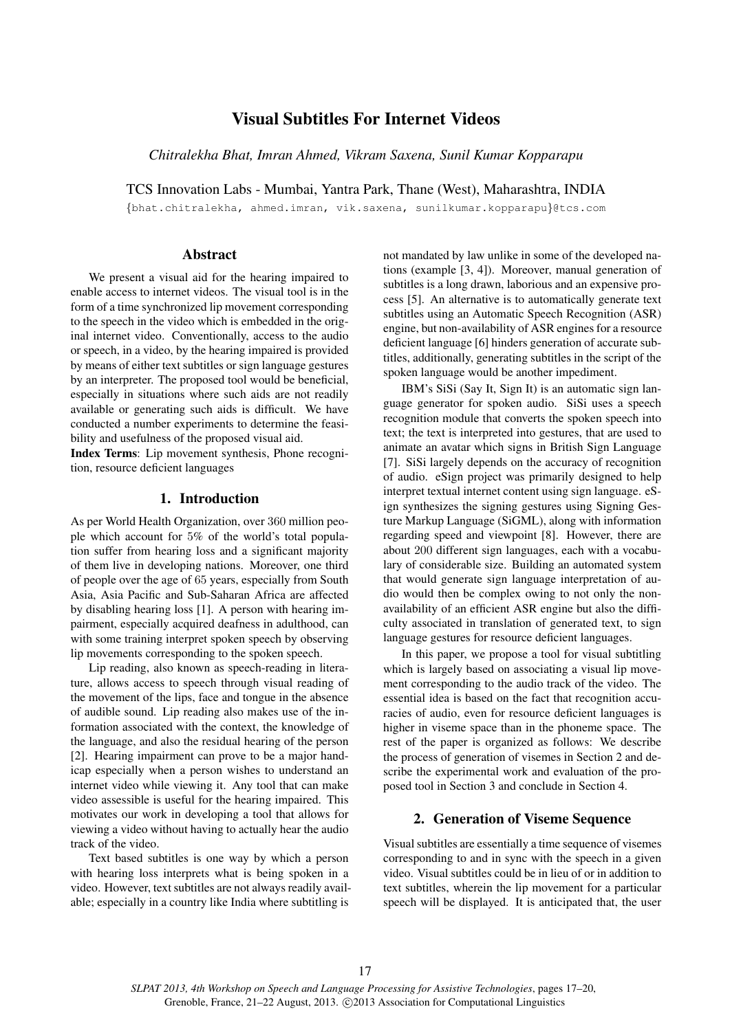# Visual Subtitles For Internet Videos

*Chitralekha Bhat, Imran Ahmed, Vikram Saxena, Sunil Kumar Kopparapu*

TCS Innovation Labs - Mumbai, Yantra Park, Thane (West), Maharashtra, INDIA

{bhat.chitralekha, ahmed.imran, vik.saxena, sunilkumar.kopparapu}@tcs.com

#### Abstract

We present a visual aid for the hearing impaired to enable access to internet videos. The visual tool is in the form of a time synchronized lip movement corresponding to the speech in the video which is embedded in the original internet video. Conventionally, access to the audio or speech, in a video, by the hearing impaired is provided by means of either text subtitles or sign language gestures by an interpreter. The proposed tool would be beneficial, especially in situations where such aids are not readily available or generating such aids is difficult. We have conducted a number experiments to determine the feasibility and usefulness of the proposed visual aid.

Index Terms: Lip movement synthesis, Phone recognition, resource deficient languages

# 1. Introduction

As per World Health Organization, over 360 million people which account for 5% of the world's total population suffer from hearing loss and a significant majority of them live in developing nations. Moreover, one third of people over the age of 65 years, especially from South Asia, Asia Pacific and Sub-Saharan Africa are affected by disabling hearing loss [1]. A person with hearing impairment, especially acquired deafness in adulthood, can with some training interpret spoken speech by observing lip movements corresponding to the spoken speech.

Lip reading, also known as speech-reading in literature, allows access to speech through visual reading of the movement of the lips, face and tongue in the absence of audible sound. Lip reading also makes use of the information associated with the context, the knowledge of the language, and also the residual hearing of the person [2]. Hearing impairment can prove to be a major handicap especially when a person wishes to understand an internet video while viewing it. Any tool that can make video assessible is useful for the hearing impaired. This motivates our work in developing a tool that allows for viewing a video without having to actually hear the audio track of the video.

Text based subtitles is one way by which a person with hearing loss interprets what is being spoken in a video. However, text subtitles are not always readily available; especially in a country like India where subtitling is

not mandated by law unlike in some of the developed nations (example [3, 4]). Moreover, manual generation of subtitles is a long drawn, laborious and an expensive process [5]. An alternative is to automatically generate text subtitles using an Automatic Speech Recognition (ASR) engine, but non-availability of ASR engines for a resource deficient language [6] hinders generation of accurate subtitles, additionally, generating subtitles in the script of the spoken language would be another impediment.

IBM's SiSi (Say It, Sign It) is an automatic sign language generator for spoken audio. SiSi uses a speech recognition module that converts the spoken speech into text; the text is interpreted into gestures, that are used to animate an avatar which signs in British Sign Language [7]. SiSi largely depends on the accuracy of recognition of audio. eSign project was primarily designed to help interpret textual internet content using sign language. eSign synthesizes the signing gestures using Signing Gesture Markup Language (SiGML), along with information regarding speed and viewpoint [8]. However, there are about 200 different sign languages, each with a vocabulary of considerable size. Building an automated system that would generate sign language interpretation of audio would then be complex owing to not only the nonavailability of an efficient ASR engine but also the difficulty associated in translation of generated text, to sign language gestures for resource deficient languages.

In this paper, we propose a tool for visual subtitling which is largely based on associating a visual lip movement corresponding to the audio track of the video. The essential idea is based on the fact that recognition accuracies of audio, even for resource deficient languages is higher in viseme space than in the phoneme space. The rest of the paper is organized as follows: We describe the process of generation of visemes in Section 2 and describe the experimental work and evaluation of the proposed tool in Section 3 and conclude in Section 4.

## 2. Generation of Viseme Sequence

Visual subtitles are essentially a time sequence of visemes corresponding to and in sync with the speech in a given video. Visual subtitles could be in lieu of or in addition to text subtitles, wherein the lip movement for a particular speech will be displayed. It is anticipated that, the user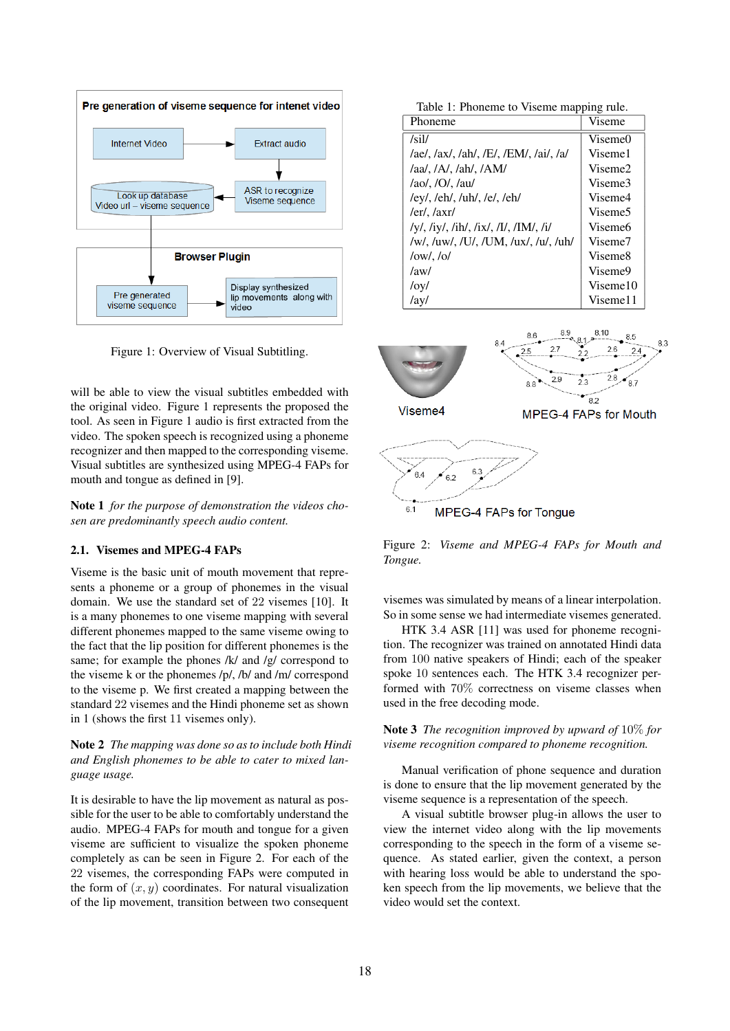

Figure 1: Overview of Visual Subtitling.

will be able to view the visual subtitles embedded with the original video. Figure 1 represents the proposed the tool. As seen in Figure 1 audio is first extracted from the video. The spoken speech is recognized using a phoneme recognizer and then mapped to the corresponding viseme. Visual subtitles are synthesized using MPEG-4 FAPs for mouth and tongue as defined in [9].

Note 1 *for the purpose of demonstration the videos chosen are predominantly speech audio content.*

#### 2.1. Visemes and MPEG-4 FAPs

Viseme is the basic unit of mouth movement that represents a phoneme or a group of phonemes in the visual domain. We use the standard set of 22 visemes [10]. It is a many phonemes to one viseme mapping with several different phonemes mapped to the same viseme owing to the fact that the lip position for different phonemes is the same; for example the phones /k/ and /g/ correspond to the viseme k or the phonemes /p/, /b/ and /m/ correspond to the viseme p. We first created a mapping between the standard 22 visemes and the Hindi phoneme set as shown in 1 (shows the first 11 visemes only).

## Note 2 *The mapping was done so as to include both Hindi and English phonemes to be able to cater to mixed language usage.*

It is desirable to have the lip movement as natural as possible for the user to be able to comfortably understand the audio. MPEG-4 FAPs for mouth and tongue for a given viseme are sufficient to visualize the spoken phoneme completely as can be seen in Figure 2. For each of the 22 visemes, the corresponding FAPs were computed in the form of  $(x, y)$  coordinates. For natural visualization of the lip movement, transition between two consequent

Table 1: Phoneme to Viseme mapping rule.

| Phoneme                                | Viseme              |
|----------------------------------------|---------------------|
| /sil/                                  | Viseme0             |
| /ae/, /ax/, /ah/, /E/, /EM/, /ai/, /a/ | Viseme1             |
| $/aa/$ , $/A/$ , $/ah/$ , $/AM/$       | Viseme <sub>2</sub> |
| $/ao/$ , $/O/$ , $/au/$                | Viseme3             |
| /ey/, /eh/, /uh/, /e/, /eh/            | Viseme4             |
| $/er/$ , $/axr/$                       | Viseme <sub>5</sub> |
| /y/, /iy/, /ih/, /ix/, /I/, /IM/, /i/  | Viseme <sub>6</sub> |
| /w/, /uw/, /U/, /UM, /ux/, /u/, /uh/   | Viseme7             |
| $\frac{\log}{\log 1}$                  | Viseme <sub>8</sub> |
| /aw/                                   | Viseme9             |
| /oy/                                   | Viseme10            |
| /ay/                                   | Viseme11            |



**MPEG-4 FAPs for Tonque** 

Figure 2: *Viseme and MPEG-4 FAPs for Mouth and Tongue.*

visemes was simulated by means of a linear interpolation. So in some sense we had intermediate visemes generated.

HTK 3.4 ASR [11] was used for phoneme recognition. The recognizer was trained on annotated Hindi data from 100 native speakers of Hindi; each of the speaker spoke 10 sentences each. The HTK 3.4 recognizer performed with 70% correctness on viseme classes when used in the free decoding mode.

Note 3 *The recognition improved by upward of* 10% *for viseme recognition compared to phoneme recognition.*

Manual verification of phone sequence and duration is done to ensure that the lip movement generated by the viseme sequence is a representation of the speech.

A visual subtitle browser plug-in allows the user to view the internet video along with the lip movements corresponding to the speech in the form of a viseme sequence. As stated earlier, given the context, a person with hearing loss would be able to understand the spoken speech from the lip movements, we believe that the video would set the context.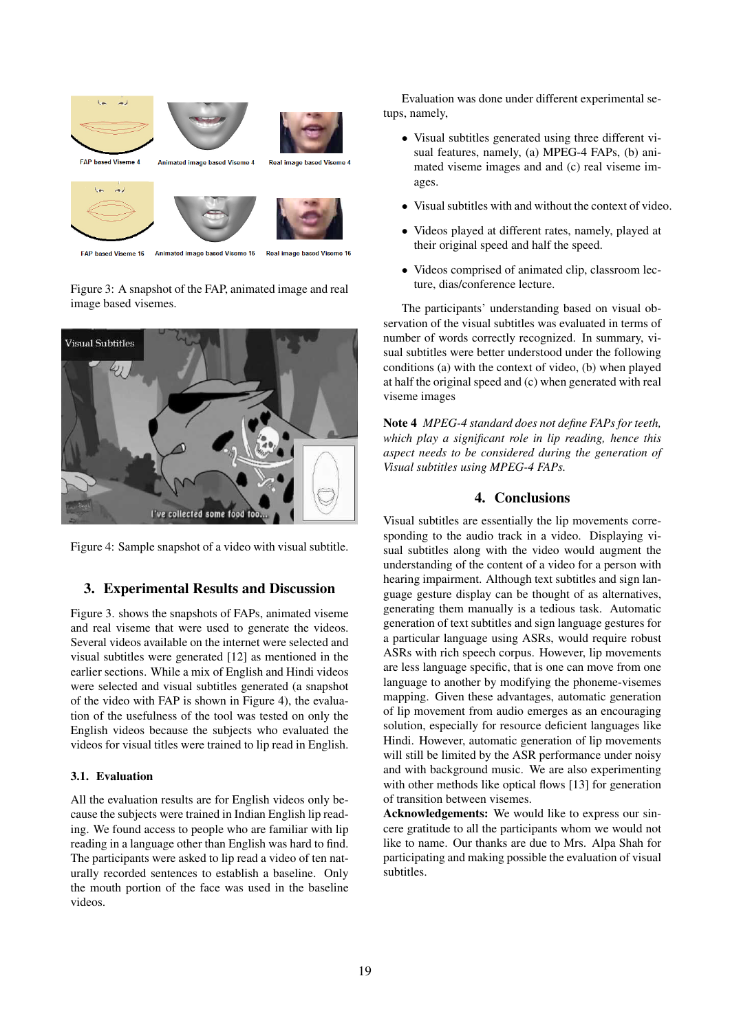

**EAP hasad Visama 16** Animated image based Viseme 16 Real image hased Viseme 16

Figure 3: A snapshot of the FAP, animated image and real image based visemes.





# 3. Experimental Results and Discussion

Figure 3. shows the snapshots of FAPs, animated viseme and real viseme that were used to generate the videos. Several videos available on the internet were selected and visual subtitles were generated [12] as mentioned in the earlier sections. While a mix of English and Hindi videos were selected and visual subtitles generated (a snapshot of the video with FAP is shown in Figure 4), the evaluation of the usefulness of the tool was tested on only the English videos because the subjects who evaluated the videos for visual titles were trained to lip read in English.

#### 3.1. Evaluation

All the evaluation results are for English videos only because the subjects were trained in Indian English lip reading. We found access to people who are familiar with lip reading in a language other than English was hard to find. The participants were asked to lip read a video of ten naturally recorded sentences to establish a baseline. Only the mouth portion of the face was used in the baseline videos.

Evaluation was done under different experimental setups, namely,

- Visual subtitles generated using three different visual features, namely, (a) MPEG-4 FAPs, (b) animated viseme images and and (c) real viseme images.
- Visual subtitles with and without the context of video.
- Videos played at different rates, namely, played at their original speed and half the speed.
- Videos comprised of animated clip, classroom lecture, dias/conference lecture.

The participants' understanding based on visual observation of the visual subtitles was evaluated in terms of number of words correctly recognized. In summary, visual subtitles were better understood under the following conditions (a) with the context of video, (b) when played at half the original speed and (c) when generated with real viseme images

Note 4 *MPEG-4 standard does not define FAPs for teeth, which play a significant role in lip reading, hence this aspect needs to be considered during the generation of Visual subtitles using MPEG-4 FAPs.*

## 4. Conclusions

Visual subtitles are essentially the lip movements corresponding to the audio track in a video. Displaying visual subtitles along with the video would augment the understanding of the content of a video for a person with hearing impairment. Although text subtitles and sign language gesture display can be thought of as alternatives, generating them manually is a tedious task. Automatic generation of text subtitles and sign language gestures for a particular language using ASRs, would require robust ASRs with rich speech corpus. However, lip movements are less language specific, that is one can move from one language to another by modifying the phoneme-visemes mapping. Given these advantages, automatic generation of lip movement from audio emerges as an encouraging solution, especially for resource deficient languages like Hindi. However, automatic generation of lip movements will still be limited by the ASR performance under noisy and with background music. We are also experimenting with other methods like optical flows [13] for generation of transition between visemes.

Acknowledgements: We would like to express our sincere gratitude to all the participants whom we would not like to name. Our thanks are due to Mrs. Alpa Shah for participating and making possible the evaluation of visual subtitles.